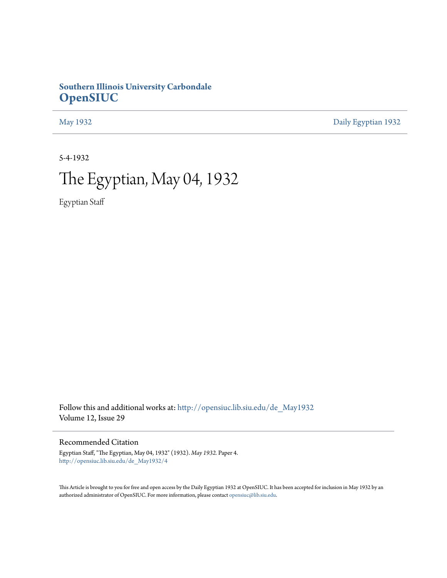## **Southern Illinois University Carbondale [OpenSIUC](http://opensiuc.lib.siu.edu?utm_source=opensiuc.lib.siu.edu%2Fde_May1932%2F4&utm_medium=PDF&utm_campaign=PDFCoverPages)**

[May 1932](http://opensiuc.lib.siu.edu/de_May1932?utm_source=opensiuc.lib.siu.edu%2Fde_May1932%2F4&utm_medium=PDF&utm_campaign=PDFCoverPages) [Daily Egyptian 1932](http://opensiuc.lib.siu.edu/de_1932?utm_source=opensiuc.lib.siu.edu%2Fde_May1932%2F4&utm_medium=PDF&utm_campaign=PDFCoverPages)

5-4-1932

## The Egyptian, May 04, 1932

Egyptian Staff

Follow this and additional works at: [http://opensiuc.lib.siu.edu/de\\_May1932](http://opensiuc.lib.siu.edu/de_May1932?utm_source=opensiuc.lib.siu.edu%2Fde_May1932%2F4&utm_medium=PDF&utm_campaign=PDFCoverPages) Volume 12, Issue 29

Recommended Citation

Egyptian Staff, "The Egyptian, May 04, 1932" (1932). *May 1932.* Paper 4. [http://opensiuc.lib.siu.edu/de\\_May1932/4](http://opensiuc.lib.siu.edu/de_May1932/4?utm_source=opensiuc.lib.siu.edu%2Fde_May1932%2F4&utm_medium=PDF&utm_campaign=PDFCoverPages)

This Article is brought to you for free and open access by the Daily Egyptian 1932 at OpenSIUC. It has been accepted for inclusion in May 1932 by an authorized administrator of OpenSIUC. For more information, please contact [opensiuc@lib.siu.edu](mailto:opensiuc@lib.siu.edu).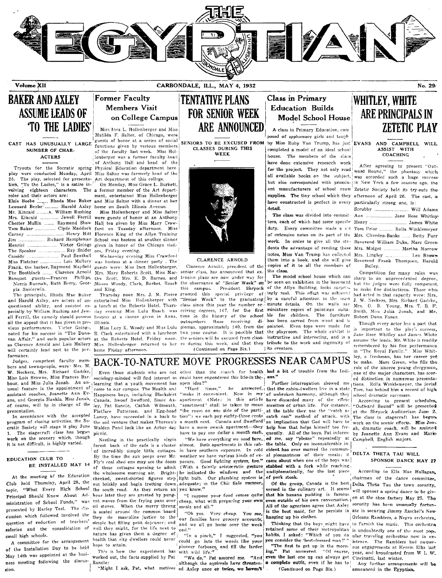

Volume XII

CARBONDALE, ILL., MAY 4, 1932

## **BAKER AND AXLEY ASSUME LEADS OF TO THE LADIES'**

## NUMBER OF CHAR-**ACTERS**

25. The play, selected for presenta- Art department of this college. tion, "To the Ladies," is a satire involving eighteen characters. The a former member of the Art departroles and their actors are:

| Elsie Beebe  Rhoda Mae Baker        |
|-------------------------------------|
| Leonard Beebe  Harold Axley         |
|                                     |
| Mrs. Kincaid  Jewell Ferrill        |
| Chester Mullin  Raymond Shaw        |
| Tom Baker  Clyde Maddock            |
| Carney  Henry Hitt                  |
| Jim  Richard Hempleman              |
| Henrici  Victor Goings              |
| The Speaker  Ray Snider             |
| Cassidy  Paul Benthall              |
| Miss Fletcher  Lois Mallory         |
| Frank, the barber, Raymond Mayfield |
| The Bootblack  Clarence Arnold      |
| Banquet guests-Frances Phillips,    |
| Norris Runnals, Ruth Berry, Geor-   |
| cio Priderwin                       |

..<br>The principals, Rhoda Mae Baker and Harold Axley, are actors of unquestioned ability, and assisted es- a lunch at the Roberts Hotel. Thurspecially by William Rushing and Jew- day evening Miss Lulu Roach was ell Ferrill, the comedy should possess hostess at a dinner given in Anna, all the anneal that it has given in pre- Illinois. vious performances. Victor Goings. noted for his success in "The Donovan Affair," and such popular actors as Clarence Arnold and Lois Mallory will certainly lend zest to the performance.

Judges, competent faculty members and townspeople, were: Mrs. M. W. Neckers, Mrs. Richard Gadske, Miss Lois Browne, Miss Frances Barbour, and Miss Julia Jonah. An un- learning that a youth movement has open idea?" usual feature is the appointment of assistant coaches, Jeanette Ann Evans, and Georgia Hankla. Miss Jonah, of course, will be in charge of the presentation.

In accordance with the accepted program of closing activities, the Socratic Society will stage it play June 1. The stagecraft class has begun work on the scenery which, though it is not difficult, is highly varied.

### EDUCATION CLUB TO BE INSTALLED MAY 14

At the meeting of the Education Club held Thursday, April 28, the topic, "What Every High School Principal Should Know About Administration of School Funds," was ent waves from the frying pans over presented by Harley Teel. The Ciscussion which followed involved the question of reduction of teachers' salaries and the consolidation of small high schools.

A committee for the arrangement of the Installation Day to be held May 14th was appointed at the business meeting following the discus- Randle: sion.

## **Former Faculty Members Visit** on College Campus

Miss Inez L. Hollenberger and Miss Matilda F. Salter, of Chicago, were guests of honor at a series of social CAST HAS UNUSUALLY LARGE functions given by various members of the faculty last week. Miss Hollenberger was a former faculty hear of Anthony Hall and head of the Tryouts for the Socratic spring Physical Education department here play were conducted Monday, April Miss Salter was formerly head of the

> On Monday, Miss Grace L. Burkett, ment, entertained Miss Hollenberger and Miss Salter with a dinner at her home on South Illinois Avenue.

Miss Hollenberger and Miss Salter were guests of honor at an Anthony Hall tea given by Miss Mary Crawford on Tuesday afternoon. Miss<br>Florence King of the Allyn Training School was hostess at another dinner given in honor of the Chicago visitors, Friday evening.

Wednesday evening Miss Crawford was hostess at a dinner party . The guests were: Miss Inez Hollenberger. Mrs. Mary Roberts Scott, Miss Martha Scott, Mrs. E. D. Barnes, and Misses Woody, Clark, Burket, Roach and King.

Thursday noon Mrs. J. M. Pierce entertained Miss Hollenberger with

Miss Lucy K. Woody and Miss Lulu  $\mathbf{R}$ Clark entertained with a luncheon at Miss Hollenberger returned to her home Friday afternoon.

**TENTATIVE PLANS FOR SENIOR WEEK** ARE ANNOUNCED

> CLASSES DURING THIS WEEK



### CLARENCE ARNOLD

Clarence Arnold, president of the senior class, has announced that extensive plans are now under way for class since this year the number reoutnumbers those two year course. It is possible that (Continued on Page Six.)

## **Class in Primary Education Builds Model School House**

A class in Primary Education, com posed of spphomore girls and taugh SENIORS TO BE EXCUSED FROM by Miss Ruby Van Trump, has just EVANS AND CAMPBELL WILL completed a model of an ideal school house. The members of the class have done extensive research work for the project. They not only read all available books on the subject, was accorded such a huge success but also corresponded with promin- in New York a few seasons ago, the ent manufacturers of school room Zetetic Society held its try-outs the supplies. The tiny school which they afternoon of April 26. The cast, a have constructed is perfect in every detail.

> The class was divided into commit-duty. Every committee made a set Tom Prior ......... Rolla Winklemeyer of extensive notes on its part of the Mrs. Cliveden-Banks ...... Betty Furr work. In order to give all the stu- Reverend William Duke, Marc Green dents the advantage of reading these Mrs. Midget ........... Martha Morrow notes, Miss Van Trump has collected Mrs. Lingley ..... them into a book, and she will give Reverend Frank Thompson, Harold copies of it to all the members of the class.

The model school house which can tensive plans are now under way for the model whose means of the basement but the judges were fully competent;<br>the observance of "Senior Week" on be seen on exhibition in the basement but the judges were fully competent;  $\mu$  and this special privilege of  $\mu$  and  $\mu$  and  $\mu$  and  $\mu$  and  $\mu$  and  $\mu$  and  $\mu$  and  $\mu$  and  $\mu$  and  $\mu$  and  $\mu$  and  $\mu$  and  $\mu$  and  $\mu$  and  $\mu$  and  $\mu$  and  $\mu$  and  $\mu$  and  $\mu$  and  $\mu$  and  $\mu$  a minute details. On the walls are ceiving degrees, 147, for the first miniature copies of paintings suitatime in the history of the school ble for children. The furniture receiving di- has been carved from wood and is plomas, approximately 140, from the painted. Even toys were made for the playroom. The whole exhibit is the Roberts Hotel, Friday noon, the seniors will be excused from class- instructive and interesting, and is a es during this week, and that they tribute to the work and ingenuity of lits creators.

## **WHITLEY, WHITE** ARE PRINCIPALS IN **ZETETIC PLAY**

No. 29

ASSIST WITH **COACHING** 

After agreeing to present "Outward Bound," the phantasy which particularly strong one, is:

Scrubby ............................. Will Adams, Ann .................... Jane Rose Whitley James White Leo Brown Bailey.

Competition for many roles was had acted in that capacity were: Mrs. J. W. Neckers, Mrs. Richard Gadske, Mrs. O. B. Young, Mrs. T. B. F. Smith, Miss Julia Jonah, and Mr. Robert Dunn Faner.

Though every actor has a part that  $i$ e important to the play's success, Jane Rose Whitley and James White assume the leads. Mr. White is readily remembered by his fine performance<br>in "The Royal Family." Miss Whitley, a freshman, has her career yet role of the sincere young clergyman, one of the major characters, has scored distinction in numerous presenta-<br>tions. Rolla Winklemeyer, the jovial Tom, has behind him a record of high school dramatic successes.

According to present schedules. "Outward Bound" will be presented at the Shryock Auditorium June 2. The class in stagecraft has begun work on the scenic effects. Miss Jonah, dramatic coach, will be assisted by Jeanette Ann Evans and Marie

## Campbell, English majors.

## SPONSOR DANCE MAY 27

According to Ella Mae Hallagan, chairman of the dance committee. Delta Theta Tau the town sorority, will sponsor a spring dance to be givsorority has been unusually fortun-Orleans Ramblers, a Negro orchestra, Thinking that the boys might have to furnish the music. This orchestra retained some of their metropolitan is undoubtedly one of the most pop-<br>habits, I asked: "Which of you do ular traveling orchestras now in ex-<br>you consider the 'best-dressed man?'" istence. The Ramblers had numerular traveling orchestras now in exous engagements at Herrin Elks last year, and broadcasted from W L W. Cincinatti, last winter.

Any further arrangements will be announced in the Egyptian.

**BACK-TO-NATURE MOVE PROGRESSES NEAR CAMPUS** to make. Marc Green, who fills the Even those students who are not other than the search for health had a bit of trouble from the Indi-

come to our campus. The Health and Happiness boys, including Blackshirt ley, Pat Randle, Catfish Wilmouth, Flatface Patterson, and Egg-head Laney, have succeeded in a back to the soil venture that makes Thoreau's Walden Pond look like an Arbor day picnic.

Nestling in the practically virgin forest back of the cafe is a cluster of incredibly simple little cottages. By the time the sun peeps over Mr. Fly's coal shed one may see the doors of these cottages opening to admit the wholesome morning air. Brightcheeked, sweat-shirted figures step light bulb. Our plumbing system is out briskly and begin trotting down adequate; in the Chic Sale manner, the south road. As they return an you know." hour later they are greeted by pungoil stoves. When the merry throng is seated around the common board they do masculine justice to the simple but filling petit dejeuner; and well they might, for the life next to nature has given them a degree of health that city dwellers could never hope to attain.

This is how the experiment has worked out, the facts supplied by Pat

"Might I ask, Pat, what motives ed Axley once or twice, we haven't

sociology-minded will find interest in could have engendered this life-in the-1 ans." Further interrogation showed me "Hard  $times$ "  $he$ answered, that the cabin-dwellers live in a state

"make it convenient. Now in my' of unbroken harmony, although they tion") we each pay eighty-three cents

weather we have various kinds of exposure. Good lighting system, too." (With a faintly aristocratic gesture he indicated the windows and the

"I suppose your food comes quite cheap, what with preparing your own meals and all."

"Oh yes. Very cheap. You see our families have grocery accounts. and we all go home over the week  $\mathsf{end}^{(i)}$ 

"In a pinch," I suggested, "you could go into the woods like your pioneer forbears, and fill the larder with wild life."

"We do," Pat assured me. "And although the squirrels have threaten-

Canada, Swoof Swofford, Sissie Ax- apartment (Note: in this article have discarded many of the effete "apartment" shall be taken to mean niceities of urban life. For instance, "the room on one side of the parti- at the table they use the "catch as catch can" method of attack, with a month rent. Canada and Swofford an implication that God will have to have a more swank apartment-they help him that helps himself too frehave to pay one dollar a month each. quently. All of the boys, Pat inform-"We have everything we need here, ed me, say "please" repeatedly at almost. Both apartments in this cab- the table. Only on inconsiderable inin have southern exposure. In cold cident has ever marred the communal pleasantness of their meals: it came about when one of the boys was! stabbed with a fork while reaching

undiplomatically, for the last piece  $\;$  of pork steak. Of the group, Canada is the best

versed in the culinary art. It seems that his banana pudding is famous even outside of his own conversation. en at the shoe factory May 27. The All of the agrarians agree that Axley is the best maid, for he persists in ate in securing Jimmy Raschel's Newhanging up his clothes.

"The first to get up in the morn-Pat answered. "Of course, ing." even the last one up can always get a complete outfit, even if he has to (Continued on Page Six.)

DELTA THETA TAU WILL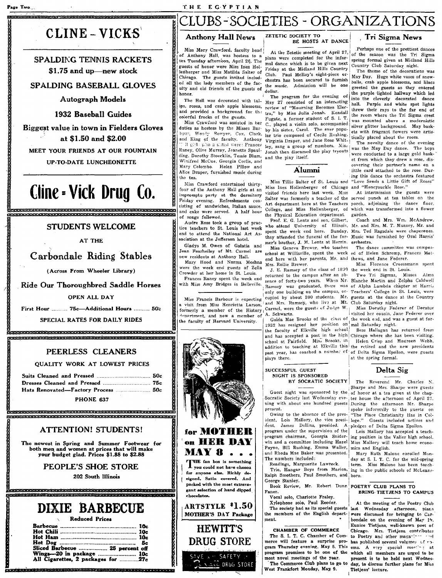## THE EGYPTIAN

## .<br>Inicio de la componenta de la componenta de la componenta de la componenta de la componenta de la componenta d CLUBS-SOCIETIES - ORGANIZATIONS

## CLINE - VICKS

**SPALDING TENNIS RACKETS** \$1.75 and up-new stock

## **SPALDING BASEBALL GLOVES**

**Autograph Models** 

## 1932 Baseball Guides

Biggest value in town in Fielders Gloves at \$1.50 and \$2.00

MEET YOUR FRIENDS AT OUR FOUNTAIN

**UP-TO-DATE LUNCHEONETTE** 

## Cline - Vick Drug Co.

### **STUDENTS WELCOME**

AT THE

## Carbondale Riding Stables

(Across From Wheeler Library)

Ride Our Thoroughbred Saddle Horses

### **OPEN ALL DAY**

First Hour ......... 75c-Additional Hours .......... 50c

SPECIAL RATES FOR DAILY RIDES

<u> TERRETEREN ERRETERET ERRETERET ERRETERET ERRETERET ERRETERET ERRETERET </u> 

## PEERLESS CLEANERS

**OUALITY WORK AT LOWEST PRICES** 

| Hats Renovated-Factory Process  50c |  |
|-------------------------------------|--|
| <b>BILONIE</b> AND                  |  |

**PHONE 63** 

## **ATTENTION! STUDENTS!**

The newest in Spring and Summer Footwear for both men and women at prices that will make your budget glad. Prices \$1.88 to \$2.88

PEOPLE'S SHOE STORE

202 South Illinois

## DIXIE BARBECUE **Reduced Prices**

| Sliced Barbecue  25 percent off                                  |  |
|------------------------------------------------------------------|--|
| Wings---20 in package  10c<br>All Cigarettes, 2 packages for 27c |  |

.<br>1. században katolikus kölöntöközött a százados terménye a koronya a terménye a terménye

### ZETETIC SOCIETY TO **Anthony Hall News**

Miss Mary Crawford, faculty head of Anthony Hall, was hostess to a tea Tuesday afternoon, April 26. The guests of honor were Miss Inez Hollenberger and Miss Matilda Salter of Chicago. The guests invited included all the lady members of the faculty and old friends of the guests of honor.

the nan was decorated with car-<br>ips, roses, and crab apple blossoms, and provided a background for the colorful frocks of the guests.

Miss Crawford was assisted in her duties as hostess by the Misses Barhour, Woody Bowyer, Cox, Clark, lar trio composed of Cecile Rushing. and King of the faculty. Anthony Il girl: vito a sisted were: Frances Raney, Olive Murray, Jeanette Spaulding, Dorothy Stoecklin, Tessie Blum. Winifred McCue, Georgia Corlis, and<br>Mary Colombo. Helen Pillow and Alice Draper, furnished music during the tea.

Miss Crawford entertained thirtyfour of the Anthony Hall girls at an impromptu party at the dormitory<br>Friday evening. Refreshments consisting of sandwiches, Italian sauce. and cake were served. A half hour of songs followed

Andre Ross took a group of practice teachers to St. Louis last week end to attend the National Art Association at the Jefferson hotel.

Gladys M. Owen of Galatia and Jean Fearheiley of Mt. Carmel are new residents at Anthony Hall.

Mary Hood and Norma Moshna were the week end guests of Zella

Crowder at her home in St. Louis. Frances Raney spent the week end<br>with Miss Amy Bridges in Belleville.

Miss Francis Barbour is expecting visit from Miss Henrietta Larson, formerly a member of the History dopartment, and now a member of the faculty of Harvard University.



**DRUG STORE** 

SAVE L. P. SAFETY J.

**NOGE DRUG STORE** 

BE HOSTS AT DANCE At the Zetetic meeting of April 27, plans were completed for the infor-

mal dance which is to be given next Friday at the Midland Hills Country Club. Paul McRoy's eight-piece orchestra has been secured to furnish the music. Admission will be one dollar.

The program for the evening of The Hall was decorated with tul-<br>Space of an interesting<br>S. roses, and crab apple blossoms, review of "Mourning Becomes Electra." by Miss Julia Jonah. Kendall Fugate, a former student of S. I. T. C., played a violin solo, accompanied by his sister, Carol. The ever popu-Virginia Draper, and Jane Rose Whitley, sang a group of numbers. Miss Jonah then discussed the play tryouts and the play itself.

## Alumni

Miss Tillie Salter of St. Louis and Miss Inez Hollenberger of Chicago and "Honeysuckle Rose." visited friends here last week. Miss the Physical Education department. garden.

Prof. E. G. Lentz and son, Gilbert, who attend University of Illinois, Mr. and Mrs. M. T. Muzzey, Mr. and spent the week end here. Sunday, Mrs. Ted Ragsdale were chaperones. they attended the funeral of the for- Music was furnished by Oral Harris' mer's brother. J. M. Lentz at Herrin. orchestra. Miss Geneva Brewer, who teaches school at Willisville, spent the week end here with her parents, Mr. and thews, and Jane Federer.

Mrs. Rollie Brewer. J. E. Ramsey of the class of 1890 returned to the campus after an ab-<br>sence of forty-two years. When Mr. Blanche Martin and Zelpha Caldwell Ramsey was graduated, there was of Alpha Lambda chapter at Harris only one building on the campus, oc- Teachers' College in St. Louis, were cupied by about 300 students. Mr. guests at the dance at the Country and Mrs. Ramsey, who live at Mt. Club Saturday night. Carmel, were the guests of Judge W. A. Schwartz.

1932 has resigned her position on me week simplest.<br>the faculty of Elkville high school Bess Hallagan has and has accepted a post in the high Chicago where she has been visiting. school at Fairfield. Miss Brooks, in addition to teaching at Elkville this the retired and the new presidents past year, has coached a number cf of Delta Sigma Epsilon, were guests

## Tri Sigma News

Perhaps one of the prettiest dances of the season was the Tri Sigma spring formal given at Midland Hills Country Club Saturday night.

The theme of the decorations was May Day. Huge white vases of snowballs, crab apple blossoms, and lilacs greeted the guests as they entered the purple lighted hallway which led into the cleverly decorated dance hall. Purple and white spot lights threw their rays to the far end of the room where the Tri Sigma crest was mounted above a modernistic silver glitter background. May baskets with fragrant flowers were artistically placed about the room.

The novelty dance of the evening was the May Day dance. The boys were conducted to a large gold basket from which they drew a rose discovering their partner's name on a little card attached to the rose. During this dance the orchestra featured "Love Sends a Little Gift of Roses"

At intermission the guests were Salter was formerly a teacher of the served punch at tea tables on the Art department here at the Teachers porch, adjoining the dance floor, College, and Miss Hollenberger, of which was transformed into a flower

Coach and Mrs. Wm. McAndrew,

The dance committee was composed of Helen Schremp, Frances Mat-

Miss Florence Croessmann spent the week end in St. Louis.

Miss Dorothy Federer of Decatur visited her cousin, Jane Federer over Golda Mae Brooks of the class of the week end, and was a guest at for-

Bess Hallagan has returned from Helen Crisp and Maureen Webb, at the spring formal.

## Delta Sig

### NIGHT IS SPONSORED BY SOCRATIC SOCIETY

Guest night was sponsored by the Socratic Society last Wednesday evening with about one hundred guests During the afternoon Mr. Sharpe present.

Owing to the absence of the president, Lois Mallory, the vice presi- lege." dent, James Dollins, presided. A program under the supervision of the program chairman, Georgia Sniderwin and a committee including Hazel Miss Mallory will teach home econo-<br>Payne, Bill Rushing, Emma Waller, mics and English. and Rhoda Mae Baker was presented. The numbers included: Readings, Marguerite Lawreck.

Trio, Hangar Boys from Marion, Ralph Smothers, Paul Smothers, and boro. George Stanley.

Book Review, Mr. Robert Dunn POETRY CLUB PLANS TO Faner.

Vocal solo, Charlotte Fraley. Xylophone solo, Paul Reeder.

The society had as its special guests the members of the English department.

### **CHAMRER OF COMMERCE**

The S. I. T. C. Chamber of Commerce will feature a surprise program Thursday evening, May 5. This program promises to be one of the most novel meetings of the year.

The Commerce Club plans to go to West Frankfort Monday, May 9.

The Reverend Mr. Charles N. Sharpe and Mrs. Sharpe were guests of honor at a tea given at the chapter house the afternoon of April 27. spoke informally to the guests on "The Place Christianity Has in Col-Guests included actives and pledges of Delta Sigma Epsilon.

Lois Mallory has accepted a teaching position in the Valier high school.

Mary Ruth Malone enrolled Monday at S. I. T. C. for the mid-spring term. Miss Malone has been teaching in the public schools of McLeans-

## **BRING TIETJENS TO CAMPUS**

At the meeting of the Poetry Club last Wednesday afternoon, piar.s bondale on the evening of May 19. Eunice Tietjens, well-known poet of Chicago. Mrs. Tietjens contributes to Poetry and other magaziness and has published several volumes of roems. A very special meeting at which all members are urged to be present is to be held next Wednesday, to discuss further plans for Miss Tietjens' lecture.

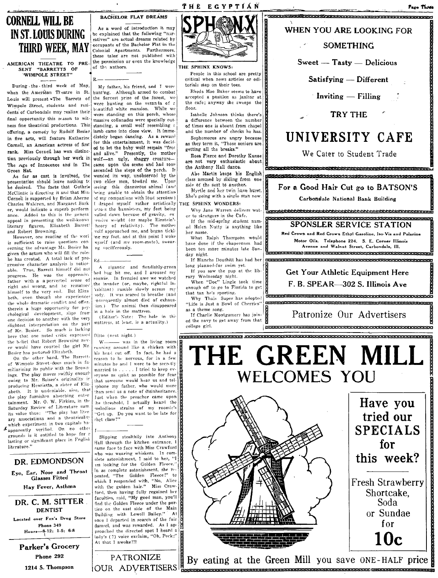## CORNELL WILL BE I BACHELOR FLAT DREAMS THIRD WEEK, MAY

AMERICAN THEATRE TO PRE. the permission of the surface of the surface of the surface of the surface of the knowledge of the knowledge of the knowledge of the knowledge of the knowledge of the knowledge of the knowledge of SENT "BARRETTS OF WIMPOLE STREET"

During. the· third week of May, when the American Treatre in St. Louis will present The Barrets of Wimpole Street, students and residents of Carbondale may realize their final opportunity this  $s$ -ason to witness fine theatrical productions. This offering, a comedy by Rudolf Besier in five acts, will feature Katharine Cornell, an American actress of first rank. Miss Cornell has won distinc· tion previously through her work in The Age of Innocence and in The Green Hat,

As far as cast is involved, the presentation sht)uld leave nothing tr. he desired. The facts that Guthrie McClintic is directing it and that Mis.' Cornell is supported by Brian Aherne Charles Waldron, and Margaret Bark er, would indicate a superb perform ance. Added to this is the genera appeal in presenting the well-knowl literary figures, Elizabeth Barret and Robert Browning.

However, one reading of the worl is sufficient to raise questions concerning the advantage Mr. Besier ha given the actors who will fill the role: he has created. A total lack of progressive character analysis is noticeable. True, Barrett himself did not progress. He was the oppressive father with a a perverted sense of right and wrong, and he remained himself to the very end. But Eliza beth, even though she experiences the whole dramatic conflict and offer. therein a huge opportunity for psychological development, slips from one decision to another with the ver) slightest interpretation on the part of Mr. Besier.. So much is lacking here that one noted critic expressed the bolief that Robert Browning never would have courted the girl Mr. Besier has pictured Elizabeth.

On the other hand, The Barrettof Wimpole Street does much in familiarizing its public with the Brownings. The play moves swiftly enough owing to Mr. Beiser's originality ir producing Henrietta, a sister of Elizabeth. It is undeniable, also, that the play furnishes absorbing enter tainment. Mr. O. W. Firkins, in the Saturday Review of Literature sum<br>its value thus: "The play has liter ary associations and a theatricality which experiment in two capitals ha·  $\mathcal{L}_{\text{apparently}}$  verified. On no other grounds is it entitled to hope for a lasting or significant place in Fnglish litcrature."

## DR. EDMONDSON

Eye, Ear, Nose and Throat Glasses Fitted

Hay Fever, Asthma

DR. C. M, SITTER DENTIST Located over Fox's Drug Store Phone 349  $Hours-8-12; 1-5; 6-8$ 

Parker's Grocery Phone 292 1214 S. Thompson

IN ST. LOUIS DURING As a word of introduction it may INST. LOUIS DURING the explained that the following "nar-<br>THIDD MIEEV MAY succupants of the Bachelor Flat in the , Colomal Apartments. Furthermore, these tales are not published with<br>the permission or even the knowledge

> R.----- My father, his friend, and  $I$  were hunting. Although armed to combat the fiercest prize of the forest, we were hunting on the veranda of z h<sub>/autiful</sub> white mansion. While we were standing on this porch, whose massive collonades were specially out· standing, a small wolf resembling r lamb came into close view. It immediately began dancing. As a reward for this entertainment, it was decid· ed to let the baby wolf remain "free<br>and alive." Presently, the mother wolf-an ugly, shaggy creature-<br>came upon the scene and had soor ascended the steps of the porch. It wended its way, unobserved by the<br>two elder men, toward me. Upor two elder men, toward me. seeing this dangerous ahimal (and being unable to obtain the attention of my companions with loud screams)<br>I draped myself -rather -artistically *veros* the bannisters, my feet being pulled down because of gravity, exessive weight (or maybe Einstein's heory of relativity). The mother volf approached me, and began tickl-;ng- my fnct, and at this point I woke nyself (and my room-mate), swear-'ng vocilferously.

A gigantic and fiendishly-green bed bug bit me, and I aroused my roomie. In frenzied awe we watched the invader (or, maybe, rightful in-'nabitant) rumble slowly across my ody. It was scared to breathe (and onsequently almost died of exhausion.) The animal then disappeared in a hole in the mattress.

(Editor's Note: The hole in the mattress, at least, is a actuality.)

Ditto (next night.)

Ditto (next night.)<br>W---- was in the living room<br>running around like a chicken with his head cut off. In fact, he had a reason to be nervous, for in a few minutes he and I were to be secretly married to . . . . . I tried to keep everyone as quiet as possible for fear that someone would hear us and telinhone my father, who would more than send us a note of disinheritance. Just when the preacher came upon .he threshold, I actually heard the '11elodious strains of my roomie's "Crt up. Do you want to he late for rhct class?"

Slipping stealthily into Anthony Hall through the kitchen entrance, I came face to face with Miss Crawford who was wearing whiskers. In comolete astonishment, I said to her, "I am looking for the Golden Fleece.' In as complete astonishment, she repeated, "The Golden Fleece!" to which I responded with, "No, Alice with the golden hair." Miss Crawford, then having fully regained her faculties, said, "My good man, you'll find the Golden Fleece under the porlico on the east side of the Main Building' with Lowell Bailey." At once I departed in search of the fair damsel, and was rewarded. As I ap-<br>proached the directed spot I heard a lady's (?) voice exclaim, "Oh, Peck;" At that I awoke!!!

PATRONIZE



fHE EGYPTIAN'

### THE SPHINX KNOWS,

People in this school are pretty critical when news articles or editorials step on their toes.

Rhoda Mae Baker seems to have accepted a position as janitor at the cafe; anyway she sweeps the floor.

Isabelle Johnson thinks there)s a difference between the number of times one is absent from chapel and the number of checks he has. Sophomores are angry because

as they term it, "Those seniors are getting all the breaks."

Rosa Fierce ami Dorothy Kunze are not very enthusiastic about

the Anthony Hall dance.<br>Abe Martin keeps his English class amused by sliding from one side of the seat to another.

Myrtle and her twin have burst. She's going with a single man now.

THE SPHINX WONDERS!<br>Why Jane Warren delivers wat-

long planned-for swim yet. If you saw the pup at the lib-

enough off to go to Florida to get that tan he's sporting.

"Life is Just a Bowl of Cherries"





OUR ADVERTISERS you save ONE-HALF price HH\_Q\_HhhHHHKHHHH'W-mYPPYPHH"H9 EBB' 'I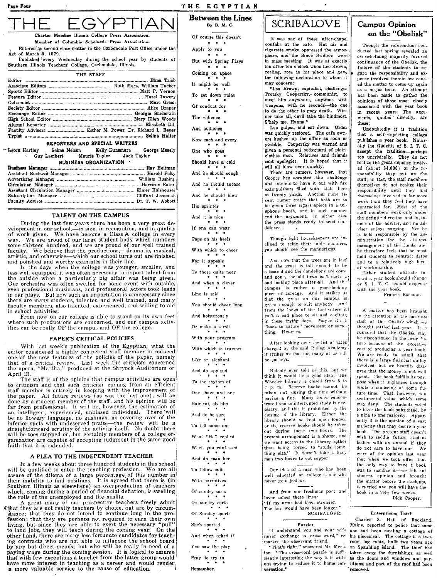## THE ECYPTIAN Between the Lines

By B. M. G.

## IGYPT

Charter Member Illinois College Press Association. Member of Columbia Scholastic Press Association.

Entered as second class matter in the Carbondale Post Office under the  $Act$  of March  $\lambda$ , 1879.

Published every Wednesday during the school year by students of Southern Illinois Teachers' College, Carbondale, Illinois.

THE STAFF

### REPORTERS AND SPECIAL WRITERS

Lèora Hartley Selma Nelson Kelly Dunsmore George Mosely<br>Guy Lambert Maurie Taylor Jack Taylor Maurie Taylor BUSINESS ORGANIZATION .

### TALENT ON THE CAMPUS

During the last few years there has been a very great development in our school,—in size, in recognition, and in quality of work given. We have become a Class-A college in every way .. We are proud of our large student body which numbers some thirteen hundred, and we are proud of our well trained faculty. We believe that the productions,-dramatic, musical, artistic, and otherwise-which our school turns out are finished and polished and worthy examples in their line.

In the days when the college was younger, smaller, and less well equipped, it was often necessary to import talent from the outside when a particularly big affair was being given. even professional musicians, and professional actors took leads in our plays. But now such an importation is unnecessary since there are many students, talented and well trained, and many faculty members, also talented, experienced, and willing to aid in school activities.

From now on our college is able to stand on its own feet where such productions are concerned, and our campus activities can be really OF the campus and OF the college.

### PAPER'S CRITICAL POLICIES

With last week's publication of the Egyptian, what the editor considered a highly competent staff member introduced<br>one of the new features of the policies of the paper, namely<br>that of a critical review. Last week the criticism concerned<br>the opera, "Martha," produced at the Sh April 21.

The staff is of the opinion that campus activities are open criticism and that such criticism coming from an efficient staff member is entirely in keeping with the improvement of<br>the paper. All future reviews (as was the last one), will be<br>done by a student member of the staff, and his opinion will be<br>far from professional. It will be, how an intelligent, experienced, unbiased individual. There will be no flowery language, no gushings, no covering over of the inferior spots with undeserved praise—the review will be a straightforward scrutiny of the activity itself. No doubt there will be toes stepped on, but certainly members of a college organization are capable of accepting judgment in the same good faith that it is extended.

### A PLEA TO THE INDEPENDENT TEACHER

In a few weeks about three hundred students in this school<br>will be qualified to enter the teaching profession. We are all will be qualified to enter the teaching profession. We are all aware of the dilema of a large percentage of this number in their inability to find positions. It is agreed that there is (in<br>Southern Illinois as elsewhere) a which, coming during a period of financial deflation, is swelling the rolls of the unemployed and the misfits.

A great many of our prospective teachers freely admit I that they are not really teachers by choice, but are by circumstance; that they do not intend to continue long in the pro-<br>fession; that they are perhaps not required to earn their own<br>living, but since they are able to exert the necessary "pull"<br>to land jobs, they will teach during other hand, there are many less fortunate candidates for teaching contracts who are not able to influence the school board<br>by any but direct means; but who will be really in need of a paying wage during the coming session. It is logical to assume that with few exceptions a teacher from the latter group would have more interest in teaching as a career and would render a· more valuable service to the cause of education.

Of course this doesn't Apply to you  $\bullet$ But with Spring Plays  $\bullet$ Coming on apace It might be well  $\begin{array}{rcl}\n\bullet & \bullet & \bullet \\
\bullet & \bullet & \bullet \\
\bullet & \bullet & \bullet \\
\text{Of conduct for} \\
\end{array}$ Of conduct for The vidience<br>And audience Now each and every One who goes Should have a cold And he should cough And he should sneeze And he should blow<br>
\* \* \*<br>
His sprinter And it is nice If one can wear Taps on his heels With which to cheer<br>
For it appeals<br>  $\begin{array}{cccc}\n\bullet & \bullet & \bullet \\
\bullet & \bullet & \bullet \\
\text{To those quite near}\n\end{array}$ And when a clever<br>  $\begin{array}{r} \bullet \bullet \bullet \\ \bullet \bullet \bullet \\ \end{array}$ <br>
Line is said You should cheer long And boisterously Or make a scroll<br>
\* \* \*<br>
With your program With which to trumpet Like an elephant And do applaud To the rhythm of One shave and one<br>
\* \* \*<br>
Hair-cut, six-bits And do be sure To tell some one What "He" replied · . . When you confessed When you confessed<br> $\begin{array}{r} \bullet \quad \bullet \quad \bullet \\ \bullet \quad \bullet \quad \bullet \\ \text{And do coax her} \end{array}$ \* \* \*<br>To follow suit<br>\* \* \*<br>With narratives With narratives<br>\* \* \*<br>Of sundry sorts On sundry sorts Of Sunday sports She's sported

And when a ked if You saw the play<br> $\begin{array}{rcl}\n\bullet & \bullet & \bullet \\
\bullet & \bullet & \bullet \\
\end{array}$ 

Remember,

**SCRIBALOVE** 

It was one of those after-chapel<br>confabs at the cafe. Hot air and confabs at the cafe. Hot air and cigarette smoke oppressed the atmos-<br>character and the Since Swillers, wave phere, and the Sinoo Swillers were in mass meeting. It was at exactly ten after ten o'clock when Leo Brown, reeling, rose in his place and gave the following declaration to whom it may concern:

"Leo Brown, capitalist, challenges Trotsky Coopersky,- communist, to meet him anywhere, anytime, with weapons, with no seconds--- the one to do the other to gory death. Winner take all, devil take the hindmost. S'help me, Hanna."

Leo gulped and sat down. Order was quickly restored. The cafe owners hushed up the affair as soon as possible. Coopersky was warned and given a personal bodyguard of plainclothes men. Relatives and friends sent apologies, It is hoped that it will all blow over quickly,

There are rumors, however, that Cooper has accepted the challenge and intends to have it out with fire extinguishers filled with stale beer at twenty yards. Another more recent rumor states that both are to be given three cigars apiece in a telephone booth, and in such manner end the argument. In either case the press stands ready to send condolences.

Though light housekeepers are inclined to relax their table manners, you should see the mannerisms.

And now that the trees are in leaf and the grass is tall enough to be scissored and the dandelions are come and gone, the old town isn't such a bad looking place after all. And the campus is rather a good-looking piece of acreage. And it strikes us that the grass on our campus is green enough to suit anybody. And from the looks of the turf-sitters it I isn't a bad place to sit and cogitate; in these trying days. Maybe it's a<br>
"back to nature" movement or some :<br>
thing.  $\overline{Hm-m.m}$ .<br>
A fter looking over the list of rates thing. Hm-m-m.

After looking over the list of rates charged by the said Riding Academy it strikes us that not many of us will be jockeys.

Nobody ever told us this. but we think it would be a good idea: The paying a fine. Many times concen-<br>trated and uninterrupted study is nec-Wheeler Library is closed from 5 to 7 p. m. Reserve books cannot betaken out during this time without essary, and this is prohibited by the<br>closing of the library. Either the library should be kept open longer, or the reserve books should be taken out during those two hours. The present arrangement is a shame, and we want access to the llibrary rather than being forced to "study some-<br>thing else." It doesn't take a busy man two hours to eat supper.

Our idea of a man who has been well educated at college is one who never gets jealous.

And from our freshman poet and lover comes these lines: "If my arms had been stronger. The kiss would have been longer." **SCRIBALOVE** 

never exchange a cross word," re-<br>marked the observant friend.

on. "The crossword puzzle is suffi- taken away the furnishings, as well ciently interesting the way it is with- as the doors and windows and parout trying to reduce it to home con- titions, and part of the roof had been versation." removed.

## Campus Opinion on the "Obelisk"

Though the referendum con\_ ducted last spring revealed an overwhelming majority favored continuance of the Obelisk, the failure of the students to regard the responsibility and expense involved therein has caused the matter to come up again as a major issue. An attempt has been made to gather the opinions of those most closely associated with the year book in recent years. The arguments, quoted directly, are these:

Undoubtedly it is tradition that a self-respecting college publishes a year book. Naturally the students of S. I. T. C. accept the tradition-perhaps too uncritically. They do not realize the great expense involv. ed (about \$4,000) or the responsib:lity they put on the staff; in fact, the staff members themsel ves do not realize their responsibility until they find themselves involved in far more work than they feel they have contracted for. . Most of the staff members work only under the definite direction and insistence of the adviser, and no adviser enjoys nagging. Yet he is heJd responsible by the administration for the discrect management of the funds, and he therefore feels that he must hold students to contract dates and to a relatively high level of workmanship.

Either student attitude toward a year book should change or S. I. T. C. should dispense with the year book. Francis Barbour.

A matter has been hrought to the attention of the business staff of the Obelisk which we thought settled last year. It is rumored that the Obelisk may be discontinued in the near future because of the excessive cost of producing a year book. We are ready to admit that there is a large financial outlay involved, but we heartily disagree that the money is not weI! spent. The book fulfills its pur\_ pose when it is glanced through while reminiscing at some future time. That, however, is a sentimental value which some may deny. The students voted to have the book subsidized, by a nine to one majority. Apparently it is the opinion of a vast majority that they desire a year book. The present staff doesn't wish to saddle future student bodies with an annual if they do not care to have one. We were of the opinion Last year that when we took' office that the only way to have a book was to susidize it-we felt out student opinion and brought the matter before the students, it carried and you will have the book in a very few weeks.

Dick Oooper.

### Enterprising Thief

Charles S. Hail of Rockland, Puzzles Maine, reported to police that some "I understand you and your wife one had been stealing a cottage of<br>ever exchange a cross word," re his piecemeal. The cottage is a twoarked the observant friend.<br>"That's right," answered Mr. Meek- on Spaulding island. The thief had on Spaulding island. The thief had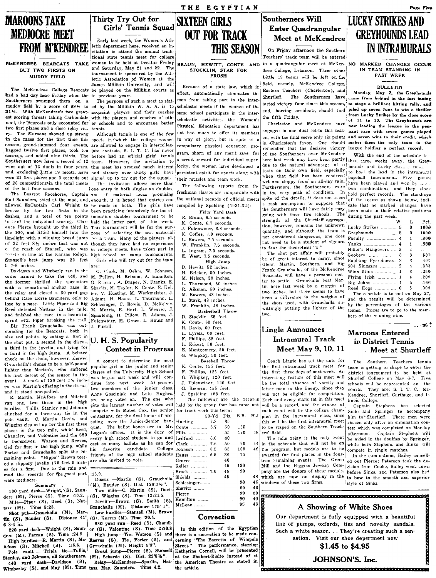## MAROONS TAKE MEDIOCRE MEET

est with the payers and one-best same school participate in the inter-<br>est scoring threats taking Carbondale with the players and coaches of oth-<br>mud, the Bearcats only accounted for er schools and to encourage better busi mud, the Bearcats only accounted for er schools and to encourage better encourage entity of the schools of the pear of the search in the line of the pear of the pear of the pear of the pear of the league in the pear of the in the races for the first time this spo.ts in-:which the college women in way of glory, but in spite of a season, grand-slammed four events, are allowed to engage in intercolleg- compulsory physical education probagged twelve first places, took ten late contests, S. I. T. C. has never Southerners now have a record of 12 team. However, the invitation to a credit reward for individual super<br>wins out of 13 duals in four vears, this meet has aroused much interest iority, the women have developed a wins out of 13 duals in four years, this meet has aroused much interest iority, the women have developed a<br>and, excluding Little 19 meets, have and already over thirty girls have persistent spirit for sports along with and, excluding Little 19 meets, have and already over thirty girls have won 21 first plates and 3 seconds out signed up to try out for the squad. their muscles and team work. of 26 competitions in the total meets The invitation allows more than  $\frac{1}{m}$  following recents for of 26 competitions- in the total meets 'The invitation allows more than The following reports from the of the last four seasons.

Bud Saunders, shied at the mud, and. enough. it is hoped that entries can breeze by for two firsts in the been practicing intensively for the eldashes, and a total of ten points imination doubles tournament to be to lead the individual scoring. Clar- held the latter part of this week. the 100, and lifted himself into the pose of selecting the best material K. Coffee, 7.0 seconds.<br>limelight with a winning broad jump  $\lambda$  a t-am. Many of the players, al. 1. Bowers, 7.5 seconds. of 22 feet & % inches that was out though they have had no experience o. the reach of Stansell, who was in college meets, have taken part in Avect in line at the Kansas Relays. high school or camp tournaments.<br>Stansell's best jump was 22 feet Girls who will try out for the team  $5 \t 7-8$  inches.  $\vert$ are:<br>Davidson and Wimberly ran in the  $\vert$ 

order named to take the 440, and M. Pullen, H. Reiman, A. Hamilton. the former thrilled the spectators G. R<sub>2</sub>iman, A. Draper, N. Franks, E. With a sensational anchor race in Shavitz, M. Taylor, K. Conte. F. Kelthe relay and closed a 30-yard gap ler, V. Hueting, M. Werkmeister, J. M. Bowers, 48 inches. behind Race Horse Saunders, only to Adams, H. Hauss, L. Thurmond, L. L. Stark, 48 inches. lose by a nose. Little Piper and Big Schlesinger, C. Bowie. D. McKelvie. W. Franklin, 48 inches. Reed defeated Nattsas in the mile, M. Morris, E. Hart, L. Weaver, J. **Basketball Throw**<br>and finished the race in a beautitul Spaulding, H. Pillow, R. Adams, J. D. Stocklin, 65 feet.

sprint with Piper breaking the clear Fulenwider, M. Grace, L. Hauss and  $\begin{array}{c} \text{Bi.} \text{ Feral} \end{array}$  R. Davis, 60 feet.<br>
standing for the Bearcats, both in the discuss of the shot put, a second in the discus. U. H. S. Popu standing for the Bearcats, both in  $\begin{array}{c|c|c|c|c|c} & & & \text{A.} & \text{D4.} & \text{A.} & \text{D4.} \\ \n\end{array}$ size and points, by taking a first in  $\mathbf{U}$ ,  $\mathbf{H}$ ,  $\mathbf{S}$ , **Popularity** F. Phillips, 55 feet.<br> **12.** The second in the discus. **Context** in **Progress**  $\begin{bmatrix} \mathbf{F} \\ \mathbf{F} \\ \mathbf{F} \\ \mathbf{F} \end{bmatrix}$  Expect, 50 feet. a third in the javelin, and tying for **Contest in Progress** E. Montgomery, 50 feet. **Meet May 9, 10, 11** Meet at Shurtleff charged  $\frac{1}{\text{B}}$  a third in the high jump. A belated  $\frac{1}{\text{C}}$  whipkey, 50 feet. Grauchalla's choice to be a half-pound popular girl in the junior and senior K. Conte, 155 feet.<br>
Ighter than Martin's, who suffered dasses of the University High School F. Phillips, 125 feet. The first three days of next lighter than Martin's, who suffered isses of the University High School F. Phillips, 125 feet.<br>his first defect of the season in this | was begun last week and will con- G. Whipkey, 129 feet. Interesting feature of this me his first defeat of the seeson in this was begun last week and will con- G. Whipkey, 120 feet.<br>
event. A mark of 126 feet 31 interesting feature of this meet will Shurleff College on May 6-7. Five<br>
be the total absence of event. A matrix of 120 feet 5.2 filence itinue into next week. At present J. Fulenwider, 120 feet. <br>
[3. Rieman, 155 feet. | be the total absence of varsity and schools will be represented on the schools will be represente

ran one, two three in the high gets the largest number of votes will held by the group that has come out will be a record, and the winner of the winner of captain Stephens has selected will be a record, and the winner of e places in the two mile, while Reed, Logan's offices. It is the duty of Chandler, and Valentine had the 880 Logan's offices. It is the duty of Chandler, and Valentine had the 880 every high school student to go and Ledford ........ 6.6 40<br>The mile relay is the only event by event by Springer, and Reeves, east as many hallots as he can for Clock 76 50 40 din the s tied for first in the sign jump, while his<br>Porter and Grauchalla split the re-<br>maining point. "Hippo" Brown toss-Porter and Grauchalia split the re-<br>Porter and Grauch split the results of the high school students Hauss ........... 6.5 30 75 awarded for first places in the four- In the eliminations, Bailey cancellmaming point. "Hippo" Brown tose- friends of the high school students Hauss ........... 6.5 30 75 awarded for first places in the four-<br>
ed a slippery javelin 175 feet 5 inch- are also invited to vote.<br>
Carves ............

Shot put--Grauchalla (M), Mar-, Low hurdles-Stansell (M), Brown tin (S), Bauder (S). Distance  $41'_{\vert}$  (S), Kurres (M), Time '30.5.

Thirty Try Out for Squad SIXTEEN GIRLS

FROM M'KENDREE etic department here, received an in-Early last week, the Women's Ath- $\chi$  **IN RENDREE** eigen the Southern IIN INTRAMURALS  $\chi$  on Friday afternoon the Southern IIN INTRAMURALS  $\chi$ 

pagged tweive first places, took ten late contests, S. 1. T. C. has never gram, shorn of any merit save for<br>Seconds, and added nine thirds. The before had an official girls' tennis context reward for individual super

() lone entry in both singles an doubles, The Bearcat seasons. Captain  $\min$  if material looks promising freshman classes are comparable with  $\max$  if  $\min$  material looks promising freshman classes are comparable with  $\min$  if  $\min$  is hoped that entries can the nati allowed ExCaptain Carl Wright to be made in both. The girls have compiled by Spalding (1931-32(:  $\frac{1}{2}$ :  $\frac{1}{2}$  Pierce brought up the third in This tournament will be for the pur-  $\frac{1}{2}$ . Fulenwider, 6.8 seconds. lor a tram. Many of the players, al-Girls who will try out for the team

G. Clark, M. Oehm, W. Johnson, and finished the race in a beautiful Spaulding, H. Pillow, R. Adams, J. D. Stocklin, 65 feet.<br>sprint with Piper breaking the trail Fulenwider, M. Grace, L. Hauss and K. Conte, 60 feet.

100 yard dash—w right, (s), same (wo mue—C. martin (s), Date of the community of the community of the community of the community of the community of the community of the community of the community of the community of the  $t^{\text{spec}}$  (M). Time 5:25. Grauchalla (M). Distance 175' 5".

Shot put—Grauchalla (M), Mar-1 Low hurdles—Stansell (M), Brown<br>
tin (S), Bauder (S). Distance 41' (S). Kurres (M). Time '30.5.<br>
6 3-4 in.<br>
220 yard dash—Wright (S), Saun- or (S), Valentine (S). The 220.8<br>
220 yard dash—Wri

# **OUT FOR TRACK**

THE EGYPTIAN

Fifty Yard Dash

- R. Braun, 6.5 seconds.
- K. Conte, 6.7 seconds.
- 
- L. Bowers, 7.5 seconds.
- W. Franklin, 7.5 seconds. L. Ingram, 7.5 seconds.
- E. West, 7.5 seconds.
	- High Jump
- D, Hewitt, 52 inches.
- H. Bricker, 50 inches.<br>M. Nelson. 50 inches.
- M. Nelson, 50 inches.<br>L. Thurmond. 50 inch
- L. Thurmond, 50 inches.<br>R. Aikman, 50 inches. Aikman, 50 inches.
- 
- 
- 
- 
- 
- 
- 
- 
- 
- **Contest in Progress**  $\begin{array}{c|c}\n\hline\n\text{E. Montgeometry, 50 feet.} \\
\hline\n\text{G. Whipkey, 50 feet.}\n\end{array}$ 
	-
	-
	-
	-
	-
	-
	-

R. Martin, McAfoos, and Mitchell are being voted on. The one who The following are the records Each and every mark set in this meet linois College.<br>The following are the meet in this meet linois College.<br>In the matter of t

| hurdles. Tullis, Stanley and Johnson                                                                   |                                                                                                                                                                                                                                                                                                                                    |             |     |     |     |                                                                               |                                                                       |
|--------------------------------------------------------------------------------------------------------|------------------------------------------------------------------------------------------------------------------------------------------------------------------------------------------------------------------------------------------------------------------------------------------------------------------------------------|-------------|-----|-----|-----|-------------------------------------------------------------------------------|-----------------------------------------------------------------------|
|                                                                                                        | compete with Mabel Cox, the senior for track work this term:                                                                                                                                                                                                                                                                       |             |     |     |     | each event will be the college cham- Sinks and Springer to accompany          |                                                                       |
| clinched for a three-way tie in the                                                                    | contestant, for the final honor of pre- [1983] [1984] [1988] [1988] [1988] [1988] [1988] [1988] [1988] [1988] [1988] [1988] [1988] [1988] [1988] [1988] [1988] [1988] [1988] [1988] [1988] [1988] [1988] [1988] [1988] [1988]                                                                                                      |             |     |     |     | B.B. H.J pion in the intramural class, since him to Shurtleff. These men were |                                                                       |
| pole vault. C. Martin, Davis, and                                                                      | siding over the Junior-Senior ban-Hueting  7.3 35                                                                                                                                                                                                                                                                                  |             |     |     |     | this will be the first intramural meet                                        | chosen only after an elimination con-                                 |
| Wiggins cleaned up for the first three                                                                 | quet. The ballot boxes are in Mr. Conte  6.7                                                                                                                                                                                                                                                                                       |             | -50 | 155 |     | to be staged on the Southern Teach-                                           | test which was completed on Monday                                    |
| places in the two mile, while Reed.                                                                    | Logan's offices. It is the duty of $Piltz$                                                                                                                                                                                                                                                                                         |             | 55  | 120 |     | $48$ ers' field.                                                              | afternoon. Captain Stephens will                                      |
| Chandler, and Valentine had the 880                                                                    |                                                                                                                                                                                                                                                                                                                                    |             |     |     |     |                                                                               |                                                                       |
| to themselves. Watson and Reeves,                                                                      | every high school student to go and Ledford  6.6                                                                                                                                                                                                                                                                                   |             | -40 |     |     |                                                                               | The mile relay is the only event be aided in the doubles by Springer, |
|                                                                                                        | cast as many ballots as he can for Clark  7.6                                                                                                                                                                                                                                                                                      |             | 50  | 90. |     | 44 in the schedule that will not be on                                        | while both Stephens and Sinks will                                    |
| tied for first in the high jump, while                                                                 | his favorite candidate. College Johnson  6.5                                                                                                                                                                                                                                                                                       |             | -65 | 100 |     | 46 the program, but medals are to be                                          | compete in single matches.                                            |
| Porter and Grauchalla split the re-                                                                    | friends of the high school students Hauss  6.5                                                                                                                                                                                                                                                                                     |             | -30 | 75  |     | awarded for first places in the four-                                         | In the eliminations, Bailey cancell-                                  |
| maining point. "Hippo" Brown toss-<br>ed a slippery javelin 175 feet 5 inch- are also invited to vote. |                                                                                                                                                                                                                                                                                                                                    | $Graves$    | 40  |     |     | teen remaining events. The Green                                              | ed out Pierce: Peterson took the de-                                  |
|                                                                                                        |                                                                                                                                                                                                                                                                                                                                    | Keller      | 45  | 120 |     | Mill and the Higgins Jewelry Com-                                             |                                                                       |
| es for a first. Due to the rain and $\frac{1}{2}$                                                      |                                                                                                                                                                                                                                                                                                                                    |             |     |     |     |                                                                               | cision from Cooke. Bailey went down                                   |
| mud the records for the most part :15.9.                                                               |                                                                                                                                                                                                                                                                                                                                    | Brock  7.6  | 45  | 90  |     | pany are the donors of these medals,                                          | before Sinks, and Peterson also had                                   |
|                                                                                                        | Discus -Martin (S), Grauchalia Shields                                                                                                                                                                                                                                                                                             |             | 45  |     |     | 48 which are now on display in the                                            | to bow to the smooth and superior                                     |
| were mediocre.                                                                                         |                                                                                                                                                                                                                                                                                                                                    | Schlesinger |     | -90 |     | 46 windows of these two firms.                                                | style of Sinks.                                                       |
| Summary ,                                                                                              | $ (M)$ , Bauder (S). Dist. 126'3'/2".                                                                                                                                                                                                                                                                                              |             |     |     |     |                                                                               |                                                                       |
| 100 yard dash—Wright, (S), Saun-                                                                       | Two mile-C. Martin (S), Davis Shavitz                                                                                                                                                                                                                                                                                              |             |     | -60 | 46  |                                                                               |                                                                       |
| ders (M), Pierce (S). Time :10.2. (S), Wiggins (S). Time 12:21.5.                                      |                                                                                                                                                                                                                                                                                                                                    | Pierce      |     | 90  | 50. |                                                                               |                                                                       |
|                                                                                                        | $\mathbb{R}$ $\mathbb{R}$ $\mathbb{R}$ $\mathbb{R}$ $\mathbb{R}$ $\mathbb{R}$ $\mathbb{R}$ $\mathbb{R}$ $\mathbb{R}$ $\mathbb{R}$ $\mathbb{R}$ $\mathbb{R}$ $\mathbb{R}$ $\mathbb{R}$ $\mathbb{R}$ $\mathbb{R}$ $\mathbb{R}$ $\mathbb{R}$ $\mathbb{R}$ $\mathbb{R}$ $\mathbb{R}$ $\mathbb{R}$ $\mathbb{R}$ $\mathbb{R}$ $\mathbb{$ |             |     |     |     |                                                                               |                                                                       |
|                                                                                                        |                                                                                                                                                                                                                                                                                                                                    |             |     |     |     |                                                                               |                                                                       |

95 46

Afoos (S), Mitchell (S), Mc. Reeves (S), The Porter (S), and erning "The Barretts of Wimpeler<br>Afoos (S), Michell (S). :16.6. I Granchalla (M). Height 5'3". Street." The performance, starring<br>Pole vault — Triple tie—Tullis, How contract the Triple tie-Tullis, Broad jump-Fierce (S), Stansell Katherine Cornell, will be presented as the state of a state of the Triple tie-Tullis, and Johnson, all Southerners. (M), Scharde (S). Dist. 22'8'%". In t

## Southerners Will<br>Enter Quadrangular<br>CONTHOLATES AND Meet at McKendree

McKENDRET BEARCATS TAKE women to be held at Decatur Friday BRAUN, HEWITT, CONTE AND in a quadrangular meet at McKen- NO MARKED CHANGES OCCUR<br>BUT TWO FIRSTS ON and Saturday, May 21 and 22. The STOCKLIN, STAR FOR dree Colle BUT TWO FIRSTS ON and Saturday, May 21 and 22. The STOCKLIN, STAR FOR dree College, Lebanon. Three other IN TEAM STANDING IN MUDDY FIELD elect. Association of Women at the result of the state of the state of the state of  $\begin{bmatrix} \text{DDY FELED} \end{bmatrix}$  letic Association of Women at the recent of  $\begin{bmatrix} \text{FNOJ} \\ \text{MCld}, \text{names will be left on the right.} \end{bmatrix}$  is almored will be left on the recent of  $\begin{bmatrix} \text{FNOJ} \\ \text{MCld}, \text{names will be left on the right.} \end{bmatrix}$ James Millikin University, and will<br>had a bad day here Friday when the in previous pears. be played on the Millikin courts as<br>had a bad day here Friday when the in previous pears. In the inter-<br>Southerners swamped them on men from taking part in the inter- Such a metal- meet southerners shave came from behind in the last inning muddy field by a score of 991/2 to ed by the Millikin W. A. A. is to scholastic meets if the women of the lasted victory four times this season, to stage a brilliant hitting rally, and<br>31%. With McKendree's two great- acq

two institutes and a close relaty vic- tennis.<br>The Marcons showed up strong Although tennis is one of the few not had much to offer its members engaged in one dual set to this seas- nant race with seven games played<br>in the in Charleston's favor. One should remember that the decisive victory of the Southerners over McKendree here last week may have been partly  $\left| \frac{1}{1 \text{tan}} \right|$  than three weeks away, the Grey-<br>due to the natural advantage of a  $\left| \frac{1}{1 \text{tan}} \right|$  hounds and  $\left| \frac{1}{1 \text{tan}} \right|$  is the set due to the natural advantage of a  $\frac{1}{2}$  hounds and Lucky Str.  $\frac{1}{2}$  conditions the condition of the conditions of the condition of the conditions of the conditions of the conditions of the conditions of the condit team on their own field, especially to hoid the lead in the intra-nu-fall<br>when that field has been rendered baseball tournament. Fixed games when that field has been rendered baseball tournament. Five games<br>wet and sloppy from an all-day rain, have been niaved and won by .... wet and sloppy from an all-day rain. have been played and won by  $\frac{1}{2}$ . Furthermore, the Southerners were two combinations, and they alone Furthermore, the Southerners were two combinations, and they alone<br>in the very peak of condition. In hold nerfect records. The standings in the very peak of condition. In hold perfect records. The standings spite of the details, it does not seem of the teams as shown below indispite of the details, it does not seem of the teams as shown below, indi-<br>a rash assumption to suppose that  $|_{\text{cata}$  that no marked obspect have a rash assumption to suppose that  $\left| \begin{array}{llllll} \text{cat} & \text{that no marked changes have} \\ \text{the Southerners will have fairly easy} & \text{been made in their relative positions} \\ \text{going with these two schools.} & \text{The 'during the past week:} \end{array} \right|$ going with these two schools. The during the past week:<br>strength of the Shurtleff aggregation, however, remains the unknown! quantity, and although the team is not considered dangerous, one does not need to be a student of algebra. to fear the theoretical "x."

The shot put affair will probably be of great interest to many, since Glenn Martin, Southern, and Big Frank Grauchalla, of the McKendree Bearcats, will have a personal matter to settle. Grauchalla beat Martin here last week by a margin of two inches, but there seems to have been a difference in the weights of  $\begin{vmatrix} 1 & 1 & 1 & 0 \\ 1 & 0 & 0 & 0 \\ 0 & 0 & 0 & 0 \\ 0 & 0 & 0 & 0 \end{vmatrix}$  be determined. the shots used, with Grauchalla un- by the percentages of the various wittingly putting the lighter of the lower Prizes are to go to the mam. two.

## Lingle Announces Intramural Track Mee<sup>t</sup> May 9, 10, 11

check on the shots, however showed A contest to determine the most **Baseball Throw** Coach Lingle has set the date for The Southern Teachers tennis<br>Coach Lingual School of the Southern Teachers tennis and senior K. Conte, 1 es was Martin's offering in the discus, two members of the junior class. G. Rieman, 155 feet.<br>and it stood unequalled. and it stood unequalled. Ann Gosciniak and Lulu Hughes. J. Spalding, 155 feet. will not be eligible for competition. Kendree, Shurtleff, Carthage, and II-<br>R. Martin, McAfoos, and Mitchell Anne Gosciniak and Lulu Hughes. J. Fan one, two three in the night and Johnson sets the largest number of votes will held by the group that has come out will be a record, and the winner of captain Stephens has selected<br>clinched for a three-way tie in the c contestant, for the final honor of pre-<br>siding over the Junior-Senior ban-<br>quet. The ballot boxes are in Mr. Conte ............. 6.7 50 155 to be staged on the Southern Teach-<br>to be staged on the Southern Teach-<br>test which pole vault. C. Martin, Davis, and siding over the Junior-Senior ban- Hueting ........ 7.3 35 this will be the first intramural meet come to contain the first intramural meet chosen only after an elimination con-<br>Wiggins cl Wiggins civalien up for the first virve. quet. The ballot boxes are in Mr. Conte 1999 Conte 1999 155 the bestaged on the Southern Teach- test which was completed on Monday places in the two mile, while Reed, quet. The ball

# GREYHOUNDS LEAD

makes them the only team in the league holding a perfect record.

With the end of the schedule Ie

|                        | w | τ.           | Pct.  |
|------------------------|---|--------------|-------|
| Jucky Strikes  5       |   | 0            | 1000  |
| <b>Sreyhounds</b> 5    |   | 0            | 1000  |
| Paculty  4             |   | $\mathbf{1}$ | .800  |
| ranks  4               |   | 1            | .800  |
| Iiller's Hangovers  3  |   | $\mathbf{z}$ |       |
| Goobers  3             |   | 3            | .501  |
| Babbling Pyrrobbeas. 2 |   | 3            | .400  |
| 04 Sluggers  2         |   | 4            | .333  |
| Vinx Stinx  1          |   | 3            | .250  |
| "lying Irish  1        |   | 4            | .200  |
| 3ig Johns  1           |   | 5            | .166  |
| Road Hogs  0           |   | 5            | .00.9 |

The schedule is to end on May 27. teams. Prizes are to go to the members of the winning nine.

## Maroons Entered in District Tennis

 $\sim$   $\sim$   $\sim$ 

ers' field. <br>The mile relay is the only event be aided in the doubles by Springer.

A Showing of White Shoes Our department is fully equipped with a beautiful line of pumps, oxfords, ties and novelty sandals. Such a white season. . . They're creating such a sensation. Visit our shoe department now

\$1.45 to \$4.95

Page Five